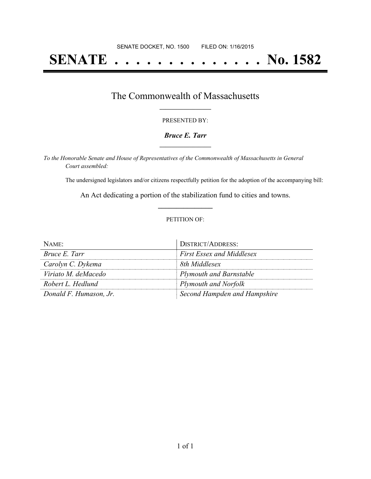# **SENATE . . . . . . . . . . . . . . No. 1582**

## The Commonwealth of Massachusetts **\_\_\_\_\_\_\_\_\_\_\_\_\_\_\_\_\_**

#### PRESENTED BY:

#### *Bruce E. Tarr* **\_\_\_\_\_\_\_\_\_\_\_\_\_\_\_\_\_**

*To the Honorable Senate and House of Representatives of the Commonwealth of Massachusetts in General Court assembled:*

The undersigned legislators and/or citizens respectfully petition for the adoption of the accompanying bill:

An Act dedicating a portion of the stabilization fund to cities and towns. **\_\_\_\_\_\_\_\_\_\_\_\_\_\_\_**

#### PETITION OF:

| NAME:                  | <b>DISTRICT/ADDRESS:</b>         |
|------------------------|----------------------------------|
| Bruce E. Tarr          | <b>First Essex and Middlesex</b> |
| Carolyn C. Dykema      | 8th Middlesex                    |
| Viriato M. deMacedo    | <b>Plymouth and Barnstable</b>   |
| Robert L. Hedlund      | Plymouth and Norfolk             |
| Donald F. Humason, Jr. | Second Hampden and Hampshire     |

 $\overline{a}$